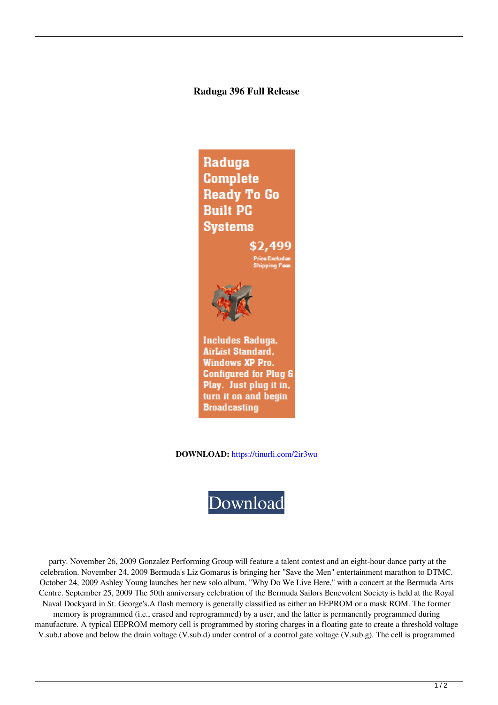## **Raduga 396 Full Release**

Raduga **Complete Ready To Go Built PC Systems** \$2,499 **Includes Raduga.** AirList Standard,

**Windows XP Pro. Configured for Plug &** Play. Just plug it in, turn it on and begin **Broadcasting** 

**DOWNLOAD:** <https://tinurli.com/2ir3wu>



 party. November 26, 2009 Gonzalez Performing Group will feature a talent contest and an eight-hour dance party at the celebration. November 24, 2009 Bermuda's Liz Gomarus is bringing her "Save the Men" entertainment marathon to DTMC. October 24, 2009 Ashley Young launches her new solo album, "Why Do We Live Here," with a concert at the Bermuda Arts Centre. September 25, 2009 The 50th anniversary celebration of the Bermuda Sailors Benevolent Society is held at the Royal Naval Dockyard in St. George's.A flash memory is generally classified as either an EEPROM or a mask ROM. The former memory is programmed (i.e., erased and reprogrammed) by a user, and the latter is permanently programmed during manufacture. A typical EEPROM memory cell is programmed by storing charges in a floating gate to create a threshold voltage V.sub.t above and below the drain voltage (V.sub.d) under control of a control gate voltage (V.sub.g). The cell is programmed